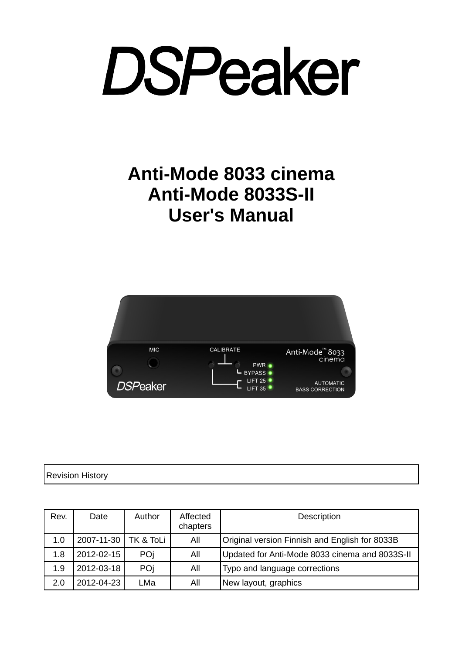### **Anti-Mode 8033 cinema Anti-Mode 8033S-II User's Manual**



Revision History

| Rev. | Date                 | Author | Affected<br>chapters | Description                                    |
|------|----------------------|--------|----------------------|------------------------------------------------|
| 1.0  | 2007-11-30 TK & ToLi |        | All                  | Original version Finnish and English for 8033B |
| 1.8  | 2012-02-15           | POj    | All                  | Updated for Anti-Mode 8033 cinema and 8033S-II |
| 1.9  | 2012-03-18           | POj    | All                  | Typo and language corrections                  |
| 2.0  | 2012-04-23           | LMa    | All                  | New layout, graphics                           |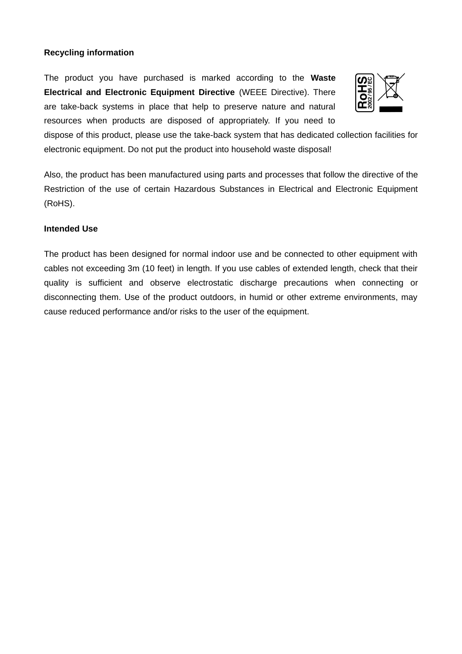#### **Recycling information**

The product you have purchased is marked according to the **Waste Electrical and Electronic Equipment Directive** (WEEE Directive). There are take-back systems in place that help to preserve nature and natural resources when products are disposed of appropriately. If you need to



dispose of this product, please use the take-back system that has dedicated collection facilities for electronic equipment. Do not put the product into household waste disposal!

Also, the product has been manufactured using parts and processes that follow the directive of the Restriction of the use of certain Hazardous Substances in Electrical and Electronic Equipment (RoHS).

#### **Intended Use**

The product has been designed for normal indoor use and be connected to other equipment with cables not exceeding 3m (10 feet) in length. If you use cables of extended length, check that their quality is sufficient and observe electrostatic discharge precautions when connecting or disconnecting them. Use of the product outdoors, in humid or other extreme environments, may cause reduced performance and/or risks to the user of the equipment.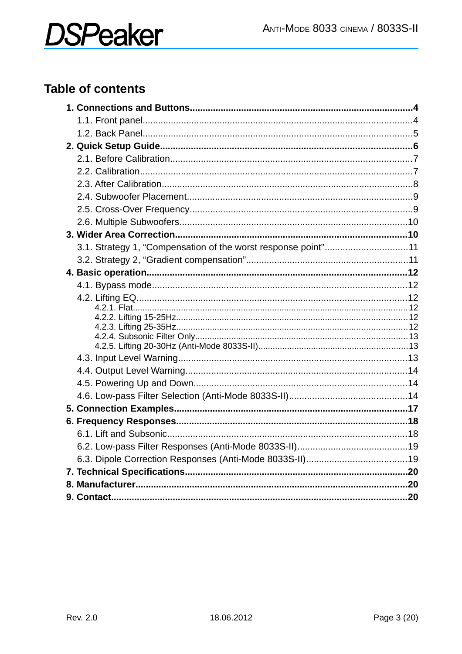### **Table of contents**

| 3.1. Strategy 1, "Compensation of the worst response point"11 |  |
|---------------------------------------------------------------|--|
|                                                               |  |
|                                                               |  |
|                                                               |  |
|                                                               |  |
|                                                               |  |
|                                                               |  |
|                                                               |  |
|                                                               |  |
|                                                               |  |
|                                                               |  |
|                                                               |  |
|                                                               |  |
|                                                               |  |
|                                                               |  |
|                                                               |  |
|                                                               |  |
|                                                               |  |
|                                                               |  |
|                                                               |  |
|                                                               |  |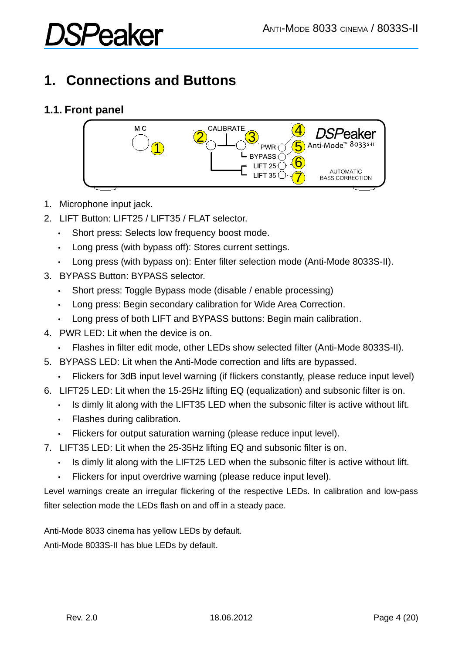# **:Peaker**

### **1. Connections and Buttons**

#### **1.1. Front panel**



- 1. Microphone input jack.
- 2. LIFT Button: LIFT25 / LIFT35 / FLAT selector.
	- Short press: Selects low frequency boost mode.
	- Long press (with bypass off): Stores current settings.
	- Long press (with bypass on): Enter filter selection mode (Anti-Mode 8033S-II).
- 3. BYPASS Button: BYPASS selector.
	- Short press: Toggle Bypass mode (disable / enable processing)
	- Long press: Begin secondary calibration for Wide Area Correction.
	- Long press of both LIFT and BYPASS buttons: Begin main calibration.
- 4. PWR LED: Lit when the device is on.
	- Flashes in filter edit mode, other LEDs show selected filter (Anti-Mode 8033S-II).
- 5. BYPASS LED: Lit when the Anti-Mode correction and lifts are bypassed.
	- Flickers for 3dB input level warning (if flickers constantly, please reduce input level)
- 6. LIFT25 LED: Lit when the 15-25Hz lifting EQ (equalization) and subsonic filter is on.
	- Is dimly lit along with the LIFT35 LED when the subsonic filter is active without lift.
	- Flashes during calibration.
	- Flickers for output saturation warning (please reduce input level).
- 7. LIFT35 LED: Lit when the 25-35Hz lifting EQ and subsonic filter is on.
	- Is dimly lit along with the LIFT25 LED when the subsonic filter is active without lift.
	- Flickers for input overdrive warning (please reduce input level).

Level warnings create an irregular flickering of the respective LEDs. In calibration and low-pass filter selection mode the LEDs flash on and off in a steady pace.

Anti-Mode 8033 cinema has yellow LEDs by default. Anti-Mode 8033S-II has blue LEDs by default.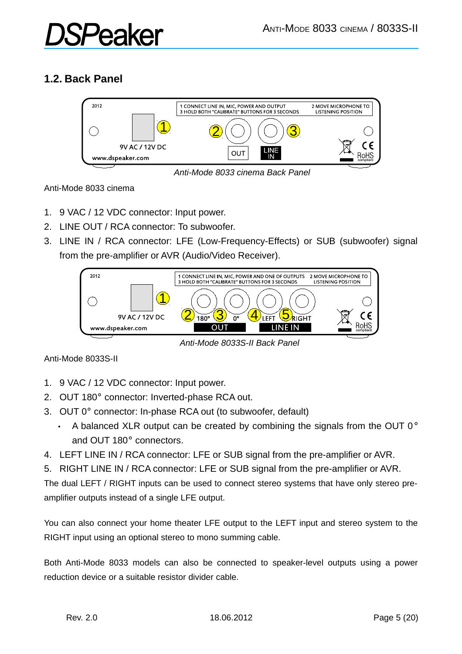# PA2:

#### **1.2. Back Panel**



*Anti-Mode 8033 cinema Back Panel*

Anti-Mode 8033 cinema

- 1. 9 VAC / 12 VDC connector: Input power.
- 2. LINE OUT / RCA connector: To subwoofer.
- 3. LINE IN / RCA connector: LFE (Low-Frequency-Effects) or SUB (subwoofer) signal from the pre-amplifier or AVR (Audio/Video Receiver).



*Anti-Mode 8033S-II Back Panel*

Anti-Mode 8033S-II

- 1. 9 VAC / 12 VDC connector: Input power.
- 2. OUT 180° connector: Inverted-phase RCA out.
- 3. OUT 0° connector: In-phase RCA out (to subwoofer, default)
	- A balanced XLR output can be created by combining the signals from the OUT  $0^{\circ}$ and OUT 180° connectors.
- 4. LEFT LINE IN / RCA connector: LFE or SUB signal from the pre-amplifier or AVR.
- 5. RIGHT LINE IN / RCA connector: LFE or SUB signal from the pre-amplifier or AVR.

The dual LEFT / RIGHT inputs can be used to connect stereo systems that have only stereo preamplifier outputs instead of a single LFE output.

You can also connect your home theater LFE output to the LEFT input and stereo system to the RIGHT input using an optional stereo to mono summing cable.

Both Anti-Mode 8033 models can also be connected to speaker-level outputs using a power reduction device or a suitable resistor divider cable.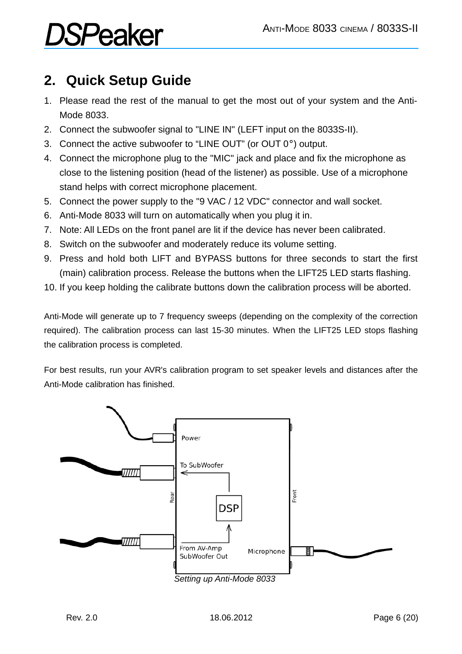### **2. Quick Setup Guide**

- 1. Please read the rest of the manual to get the most out of your system and the Anti-Mode 8033.
- 2. Connect the subwoofer signal to "LINE IN" (LEFT input on the 8033S-II).
- 3. Connect the active subwoofer to "LINE OUT" (or OUT 0°) output.
- 4. Connect the microphone plug to the "MIC" jack and place and fix the microphone as close to the listening position (head of the listener) as possible. Use of a microphone stand helps with correct microphone placement.
- 5. Connect the power supply to the "9 VAC / 12 VDC" connector and wall socket.
- 6. Anti-Mode 8033 will turn on automatically when you plug it in.
- 7. Note: All LEDs on the front panel are lit if the device has never been calibrated.
- 8. Switch on the subwoofer and moderately reduce its volume setting.
- 9. Press and hold both LIFT and BYPASS buttons for three seconds to start the first (main) calibration process. Release the buttons when the LIFT25 LED starts flashing.
- 10. If you keep holding the calibrate buttons down the calibration process will be aborted.

Anti-Mode will generate up to 7 frequency sweeps (depending on the complexity of the correction required). The calibration process can last 15-30 minutes. When the LIFT25 LED stops flashing the calibration process is completed.

For best results, run your AVR's calibration program to set speaker levels and distances after the Anti-Mode calibration has finished.



*Setting up Anti-Mode 8033*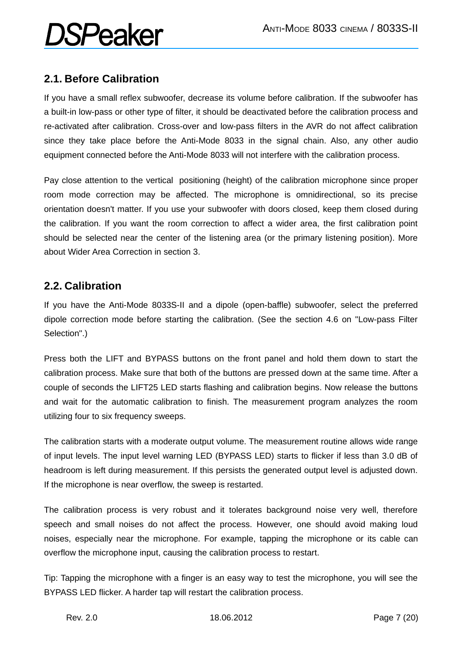#### **2.1. Before Calibration**

If you have a small reflex subwoofer, decrease its volume before calibration. If the subwoofer has a built-in low-pass or other type of filter, it should be deactivated before the calibration process and re-activated after calibration. Cross-over and low-pass filters in the AVR do not affect calibration since they take place before the Anti-Mode 8033 in the signal chain. Also, any other audio equipment connected before the Anti-Mode 8033 will not interfere with the calibration process.

Pay close attention to the vertical positioning (height) of the calibration microphone since proper room mode correction may be affected. The microphone is omnidirectional, so its precise orientation doesn't matter. If you use your subwoofer with doors closed, keep them closed during the calibration. If you want the room correction to affect a wider area, the first calibration point should be selected near the center of the listening area (or the primary listening position). More about Wider Area Correction in section 3.

#### **2.2. Calibration**

If you have the Anti-Mode 8033S-II and a dipole (open-baffle) subwoofer, select the preferred dipole correction mode before starting the calibration. (See the section 4.6 on "Low-pass Filter Selection".)

Press both the LIFT and BYPASS buttons on the front panel and hold them down to start the calibration process. Make sure that both of the buttons are pressed down at the same time. After a couple of seconds the LIFT25 LED starts flashing and calibration begins. Now release the buttons and wait for the automatic calibration to finish. The measurement program analyzes the room utilizing four to six frequency sweeps.

The calibration starts with a moderate output volume. The measurement routine allows wide range of input levels. The input level warning LED (BYPASS LED) starts to flicker if less than 3.0 dB of headroom is left during measurement. If this persists the generated output level is adjusted down. If the microphone is near overflow, the sweep is restarted.

The calibration process is very robust and it tolerates background noise very well, therefore speech and small noises do not affect the process. However, one should avoid making loud noises, especially near the microphone. For example, tapping the microphone or its cable can overflow the microphone input, causing the calibration process to restart.

Tip: Tapping the microphone with a finger is an easy way to test the microphone, you will see the BYPASS LED flicker. A harder tap will restart the calibration process.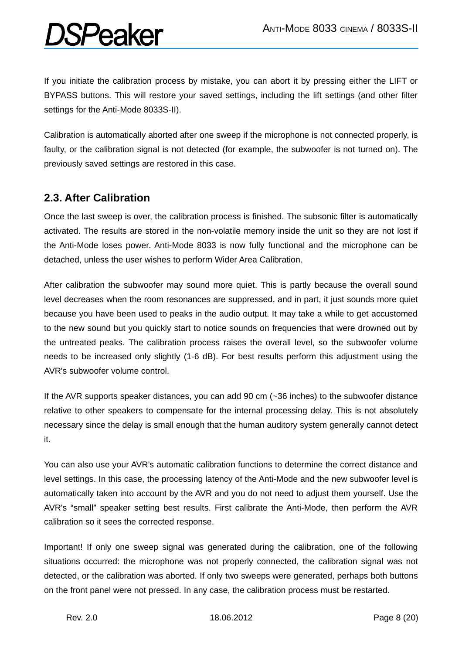If you initiate the calibration process by mistake, you can abort it by pressing either the LIFT or BYPASS buttons. This will restore your saved settings, including the lift settings (and other filter settings for the Anti-Mode 8033S-II).

Calibration is automatically aborted after one sweep if the microphone is not connected properly, is faulty, or the calibration signal is not detected (for example, the subwoofer is not turned on). The previously saved settings are restored in this case.

#### **2.3. After Calibration**

Once the last sweep is over, the calibration process is finished. The subsonic filter is automatically activated. The results are stored in the non-volatile memory inside the unit so they are not lost if the Anti-Mode loses power. Anti-Mode 8033 is now fully functional and the microphone can be detached, unless the user wishes to perform Wider Area Calibration.

After calibration the subwoofer may sound more quiet. This is partly because the overall sound level decreases when the room resonances are suppressed, and in part, it just sounds more quiet because you have been used to peaks in the audio output. It may take a while to get accustomed to the new sound but you quickly start to notice sounds on frequencies that were drowned out by the untreated peaks. The calibration process raises the overall level, so the subwoofer volume needs to be increased only slightly (1-6 dB). For best results perform this adjustment using the AVR's subwoofer volume control.

If the AVR supports speaker distances, you can add 90 cm (~36 inches) to the subwoofer distance relative to other speakers to compensate for the internal processing delay. This is not absolutely necessary since the delay is small enough that the human auditory system generally cannot detect it.

You can also use your AVR's automatic calibration functions to determine the correct distance and level settings. In this case, the processing latency of the Anti-Mode and the new subwoofer level is automatically taken into account by the AVR and you do not need to adjust them yourself. Use the AVR's "small" speaker setting best results. First calibrate the Anti-Mode, then perform the AVR calibration so it sees the corrected response.

Important! If only one sweep signal was generated during the calibration, one of the following situations occurred: the microphone was not properly connected, the calibration signal was not detected, or the calibration was aborted. If only two sweeps were generated, perhaps both buttons on the front panel were not pressed. In any case, the calibration process must be restarted.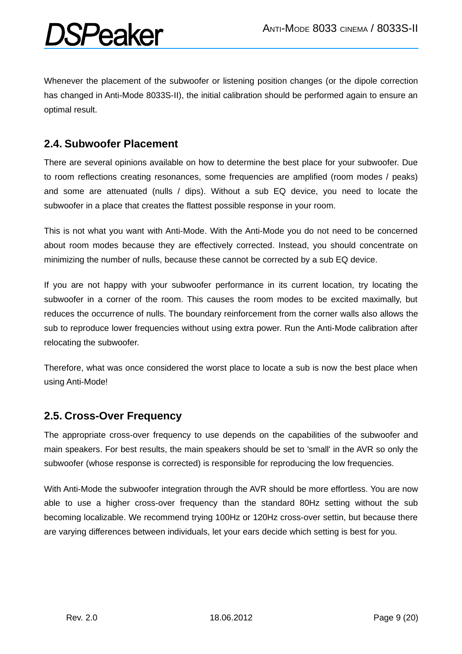Whenever the placement of the subwoofer or listening position changes (or the dipole correction has changed in Anti-Mode 8033S-II), the initial calibration should be performed again to ensure an optimal result.

#### **2.4. Subwoofer Placement**

*SPeaker* 

There are several opinions available on how to determine the best place for your subwoofer. Due to room reflections creating resonances, some frequencies are amplified (room modes / peaks) and some are attenuated (nulls / dips). Without a sub EQ device, you need to locate the subwoofer in a place that creates the flattest possible response in your room.

This is not what you want with Anti-Mode. With the Anti-Mode you do not need to be concerned about room modes because they are effectively corrected. Instead, you should concentrate on minimizing the number of nulls, because these cannot be corrected by a sub EQ device.

If you are not happy with your subwoofer performance in its current location, try locating the subwoofer in a corner of the room. This causes the room modes to be excited maximally, but reduces the occurrence of nulls. The boundary reinforcement from the corner walls also allows the sub to reproduce lower frequencies without using extra power. Run the Anti-Mode calibration after relocating the subwoofer.

Therefore, what was once considered the worst place to locate a sub is now the best place when using Anti-Mode!

#### **2.5. Cross-Over Frequency**

The appropriate cross-over frequency to use depends on the capabilities of the subwoofer and main speakers. For best results, the main speakers should be set to 'small' in the AVR so only the subwoofer (whose response is corrected) is responsible for reproducing the low frequencies.

With Anti-Mode the subwoofer integration through the AVR should be more effortless. You are now able to use a higher cross-over frequency than the standard 80Hz setting without the sub becoming localizable. We recommend trying 100Hz or 120Hz cross-over settin, but because there are varying differences between individuals, let your ears decide which setting is best for you.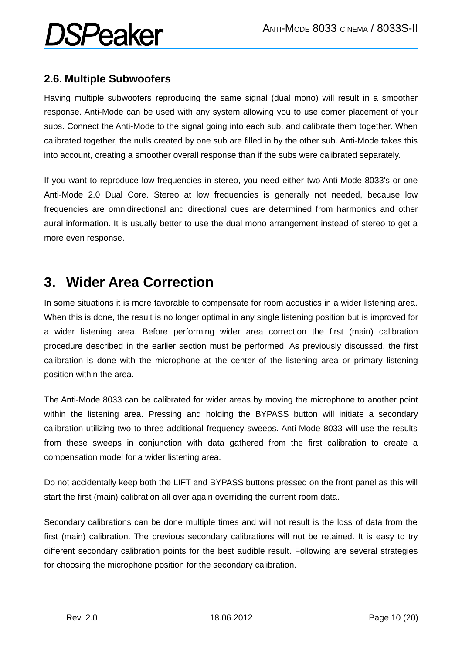#### **2.6. Multiple Subwoofers**

Having multiple subwoofers reproducing the same signal (dual mono) will result in a smoother response. Anti-Mode can be used with any system allowing you to use corner placement of your subs. Connect the Anti-Mode to the signal going into each sub, and calibrate them together. When calibrated together, the nulls created by one sub are filled in by the other sub. Anti-Mode takes this into account, creating a smoother overall response than if the subs were calibrated separately.

If you want to reproduce low frequencies in stereo, you need either two Anti-Mode 8033's or one Anti-Mode 2.0 Dual Core. Stereo at low frequencies is generally not needed, because low frequencies are omnidirectional and directional cues are determined from harmonics and other aural information. It is usually better to use the dual mono arrangement instead of stereo to get a more even response.

### **3. Wider Area Correction**

In some situations it is more favorable to compensate for room acoustics in a wider listening area. When this is done, the result is no longer optimal in any single listening position but is improved for a wider listening area. Before performing wider area correction the first (main) calibration procedure described in the earlier section must be performed. As previously discussed, the first calibration is done with the microphone at the center of the listening area or primary listening position within the area.

The Anti-Mode 8033 can be calibrated for wider areas by moving the microphone to another point within the listening area. Pressing and holding the BYPASS button will initiate a secondary calibration utilizing two to three additional frequency sweeps. Anti-Mode 8033 will use the results from these sweeps in conjunction with data gathered from the first calibration to create a compensation model for a wider listening area.

Do not accidentally keep both the LIFT and BYPASS buttons pressed on the front panel as this will start the first (main) calibration all over again overriding the current room data.

Secondary calibrations can be done multiple times and will not result is the loss of data from the first (main) calibration. The previous secondary calibrations will not be retained. It is easy to try different secondary calibration points for the best audible result. Following are several strategies for choosing the microphone position for the secondary calibration.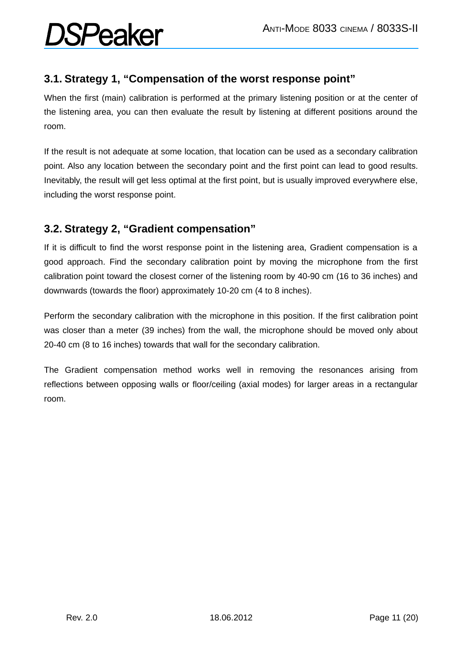#### **3.1. Strategy 1, "Compensation of the worst response point"**

When the first (main) calibration is performed at the primary listening position or at the center of the listening area, you can then evaluate the result by listening at different positions around the room.

If the result is not adequate at some location, that location can be used as a secondary calibration point. Also any location between the secondary point and the first point can lead to good results. Inevitably, the result will get less optimal at the first point, but is usually improved everywhere else, including the worst response point.

#### **3.2. Strategy 2, "Gradient compensation"**

If it is difficult to find the worst response point in the listening area, Gradient compensation is a good approach. Find the secondary calibration point by moving the microphone from the first calibration point toward the closest corner of the listening room by 40-90 cm (16 to 36 inches) and downwards (towards the floor) approximately 10-20 cm (4 to 8 inches).

Perform the secondary calibration with the microphone in this position. If the first calibration point was closer than a meter (39 inches) from the wall, the microphone should be moved only about 20-40 cm (8 to 16 inches) towards that wall for the secondary calibration.

The Gradient compensation method works well in removing the resonances arising from reflections between opposing walls or floor/ceiling (axial modes) for larger areas in a rectangular room.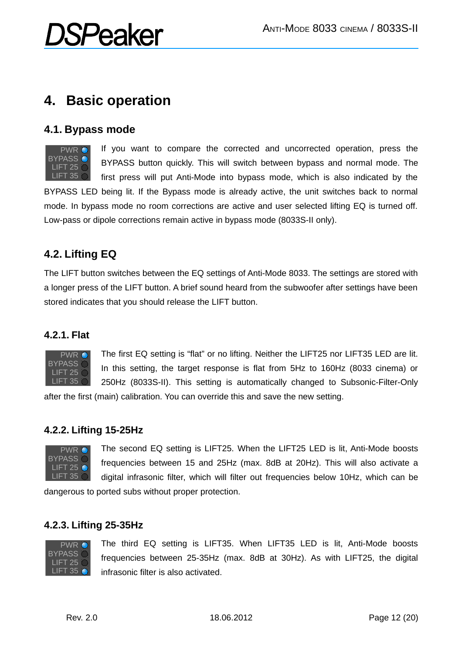### **4. Basic operation**

#### **4.1. Bypass mode**



If you want to compare the corrected and uncorrected operation, press the BYPASS button quickly. This will switch between bypass and normal mode. The first press will put Anti-Mode into bypass mode, which is also indicated by the

BYPASS LED being lit. If the Bypass mode is already active, the unit switches back to normal mode. In bypass mode no room corrections are active and user selected lifting EQ is turned off. Low-pass or dipole corrections remain active in bypass mode (8033S-II only).

#### **4.2. Lifting EQ**

The LIFT button switches between the EQ settings of Anti-Mode 8033. The settings are stored with a longer press of the LIFT button. A brief sound heard from the subwoofer after settings have been stored indicates that you should release the LIFT button.

#### **4.2.1. Flat**



The first EQ setting is "flat" or no lifting. Neither the LIFT25 nor LIFT35 LED are lit. In this setting, the target response is flat from 5Hz to 160Hz (8033 cinema) or 250Hz (8033S-II). This setting is automatically changed to Subsonic-Filter-Only

after the first (main) calibration. You can override this and save the new setting.

#### **4.2.2. Lifting 15-25Hz**



The second EQ setting is LIFT25. When the LIFT25 LED is lit, Anti-Mode boosts frequencies between 15 and 25Hz (max. 8dB at 20Hz). This will also activate a digital infrasonic filter, which will filter out frequencies below 10Hz, which can be

dangerous to ported subs without proper protection.

#### **4.2.3. Lifting 25-35Hz**



The third EQ setting is LIFT35. When LIFT35 LED is lit, Anti-Mode boosts frequencies between 25-35Hz (max. 8dB at 30Hz). As with LIFT25, the digital infrasonic filter is also activated.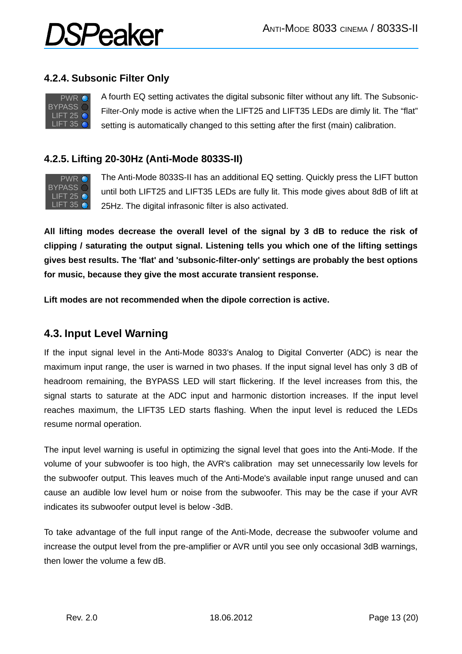#### **4.2.4. Subsonic Filter Only**

*SPeaker* 



A fourth EQ setting activates the digital subsonic filter without any lift. The Subsonic-Filter-Only mode is active when the LIFT25 and LIFT35 LEDs are dimly lit. The "flat" setting is automatically changed to this setting after the first (main) calibration.

#### **4.2.5. Lifting 20-30Hz (Anti-Mode 8033S-II)**



The Anti-Mode 8033S-II has an additional EQ setting. Quickly press the LIFT button until both LIFT25 and LIFT35 LEDs are fully lit. This mode gives about 8dB of lift at 25Hz. The digital infrasonic filter is also activated.

**All lifting modes decrease the overall level of the signal by 3 dB to reduce the risk of clipping / saturating the output signal. Listening tells you which one of the lifting settings gives best results. The 'flat' and 'subsonic-filter-only' settings are probably the best options for music, because they give the most accurate transient response.**

**Lift modes are not recommended when the dipole correction is active.**

#### **4.3. Input Level Warning**

If the input signal level in the Anti-Mode 8033's Analog to Digital Converter (ADC) is near the maximum input range, the user is warned in two phases. If the input signal level has only 3 dB of headroom remaining, the BYPASS LED will start flickering. If the level increases from this, the signal starts to saturate at the ADC input and harmonic distortion increases. If the input level reaches maximum, the LIFT35 LED starts flashing. When the input level is reduced the LEDs resume normal operation.

The input level warning is useful in optimizing the signal level that goes into the Anti-Mode. If the volume of your subwoofer is too high, the AVR's calibration may set unnecessarily low levels for the subwoofer output. This leaves much of the Anti-Mode's available input range unused and can cause an audible low level hum or noise from the subwoofer. This may be the case if your AVR indicates its subwoofer output level is below -3dB.

To take advantage of the full input range of the Anti-Mode, decrease the subwoofer volume and increase the output level from the pre-amplifier or AVR until you see only occasional 3dB warnings, then lower the volume a few dB.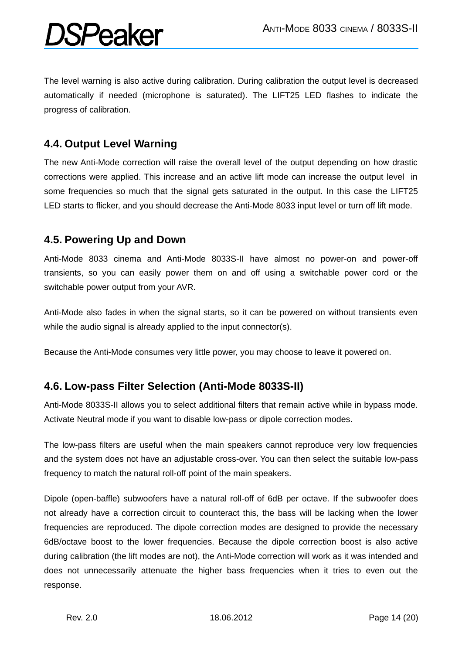The level warning is also active during calibration. During calibration the output level is decreased automatically if needed (microphone is saturated). The LIFT25 LED flashes to indicate the progress of calibration.

#### **4.4. Output Level Warning**

The new Anti-Mode correction will raise the overall level of the output depending on how drastic corrections were applied. This increase and an active lift mode can increase the output level in some frequencies so much that the signal gets saturated in the output. In this case the LIFT25 LED starts to flicker, and you should decrease the Anti-Mode 8033 input level or turn off lift mode.

#### **4.5. Powering Up and Down**

Anti-Mode 8033 cinema and Anti-Mode 8033S-II have almost no power-on and power-off transients, so you can easily power them on and off using a switchable power cord or the switchable power output from your AVR.

Anti-Mode also fades in when the signal starts, so it can be powered on without transients even while the audio signal is already applied to the input connector(s).

Because the Anti-Mode consumes very little power, you may choose to leave it powered on.

#### **4.6. Low-pass Filter Selection (Anti-Mode 8033S-II)**

Anti-Mode 8033S-II allows you to select additional filters that remain active while in bypass mode. Activate Neutral mode if you want to disable low-pass or dipole correction modes.

The low-pass filters are useful when the main speakers cannot reproduce very low frequencies and the system does not have an adjustable cross-over. You can then select the suitable low-pass frequency to match the natural roll-off point of the main speakers.

Dipole (open-baffle) subwoofers have a natural roll-off of 6dB per octave. If the subwoofer does not already have a correction circuit to counteract this, the bass will be lacking when the lower frequencies are reproduced. The dipole correction modes are designed to provide the necessary 6dB/octave boost to the lower frequencies. Because the dipole correction boost is also active during calibration (the lift modes are not), the Anti-Mode correction will work as it was intended and does not unnecessarily attenuate the higher bass frequencies when it tries to even out the response.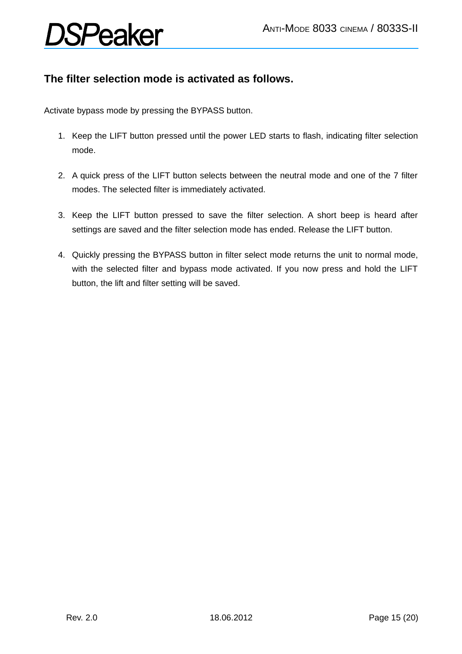#### **The filter selection mode is activated as follows.**

Activate bypass mode by pressing the BYPASS button.

- 1. Keep the LIFT button pressed until the power LED starts to flash, indicating filter selection mode.
- 2. A quick press of the LIFT button selects between the neutral mode and one of the 7 filter modes. The selected filter is immediately activated.
- 3. Keep the LIFT button pressed to save the filter selection. A short beep is heard after settings are saved and the filter selection mode has ended. Release the LIFT button.
- 4. Quickly pressing the BYPASS button in filter select mode returns the unit to normal mode, with the selected filter and bypass mode activated. If you now press and hold the LIFT button, the lift and filter setting will be saved.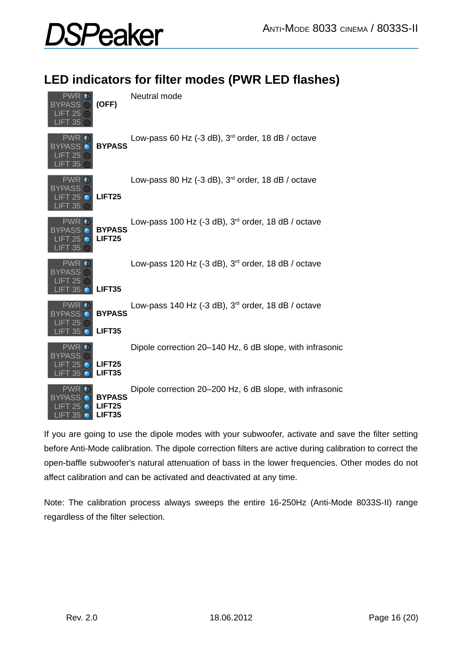### **LED indicators for filter modes (PWR LED flashes)**

| PWR<br>BYPASS<br>LIFT 25<br>.IFT 35                                | (OFF)                                         | Neutral mode                                                  |
|--------------------------------------------------------------------|-----------------------------------------------|---------------------------------------------------------------|
| <b>PWR</b><br>BYPASS<br>FT 25<br>.IFT 35                           | <b>BYPASS</b>                                 | Low-pass 60 Hz (-3 dB), $3rd$ order, 18 dB / octave           |
| <b>PWR</b><br>BYPASS<br>FT 25<br>IFT 35                            | <b>LIFT25</b>                                 | Low-pass 80 Hz (-3 dB), 3 <sup>rd</sup> order, 18 dB / octave |
| <b>PWR</b><br><b>BYPASS</b><br>LIFT 25 $\bullet$<br><b>LIFT 35</b> | <b>BYPASS</b><br>LIFT <sub>25</sub>           | Low-pass 100 Hz (-3 dB), $3rd$ order, 18 dB / octave          |
| <b>PWR</b><br>BYPASS<br>-125<br>35                                 | LIFT35                                        | Low-pass 120 Hz (-3 dB), $3rd$ order, 18 dB / octave          |
| PWR.<br>BYPASS<br>IFT 25<br>T 35                                   | <b>BYPASS</b><br>LIFT35                       | Low-pass 140 Hz (-3 dB), $3rd$ order, 18 dB / octave          |
| PWR<br>BYPASS<br>LIFT 25.<br>LIFT 35                               | LIFT <sub>25</sub><br>LIFT35                  | Dipole correction 20–140 Hz, 6 dB slope, with infrasonic      |
| PWR.<br>BYPASS<br>ີ 25<br>.IFT 35                                  | <b>BYPASS</b><br>LIFT <sub>25</sub><br>LIFT35 | Dipole correction 20–200 Hz, 6 dB slope, with infrasonic      |

If you are going to use the dipole modes with your subwoofer, activate and save the filter setting before Anti-Mode calibration. The dipole correction filters are active during calibration to correct the open-baffle subwoofer's natural attenuation of bass in the lower frequencies. Other modes do not affect calibration and can be activated and deactivated at any time.

Note: The calibration process always sweeps the entire 16-250Hz (Anti-Mode 8033S-II) range regardless of the filter selection.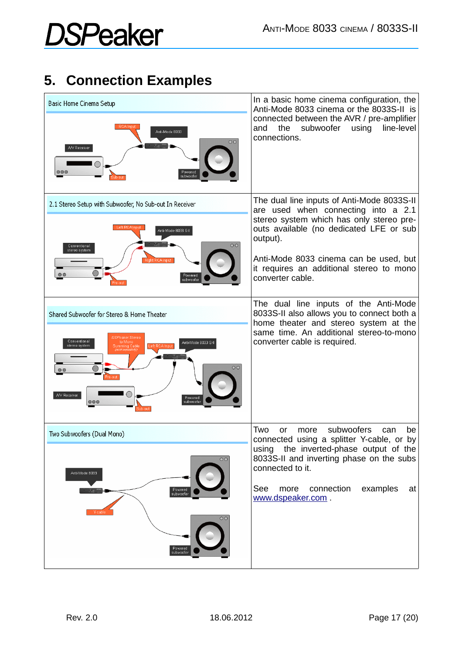### **5. Connection Examples**

| Basic Home Cinema Setup<br>RCA Input<br>Anti-Mo de 8033<br>00<br>A/V Receiver<br>$\circ\circ\circ$<br>Powered<br>su bwo ofer                                                                                                      | In a basic home cinema configuration, the<br>Anti-Mode 8033 cinema or the 8033S-II is<br>connected between the AVR / pre-amplifier<br>subwoofer<br>using<br>line-level<br>the<br>and<br>connections.                                                                                           |
|-----------------------------------------------------------------------------------------------------------------------------------------------------------------------------------------------------------------------------------|------------------------------------------------------------------------------------------------------------------------------------------------------------------------------------------------------------------------------------------------------------------------------------------------|
| 2.1 Stereo Setup with Subwoofer, No Sub-out In Receiver<br>eft RCAInput<br>Anti-Mode 8033 S-II<br>OO<br>Conventional<br>stereo system<br>Powered<br>subwoofer                                                                     | The dual line inputs of Anti-Mode 8033S-II<br>are used when connecting into a 2.1<br>stereo system which has only stereo pre-<br>outs available (no dedicated LFE or sub<br>output).<br>Anti-Mode 8033 cinema can be used, but<br>it requires an additional stereo to mono<br>converter cable. |
| Shared Subwoofer for Stereo & Home Theater<br>OSPeaker Stereo<br>Conventional<br>to Mono<br>Anti-Mode 8033 S-I<br>stereo system<br>Summing Cable<br>0 <sup>o</sup><br>A/V Receiver<br>Powered<br>$\circ \circ \circ$<br>subwoofer | The dual line inputs of the Anti-Mode<br>8033S-II also allows you to connect both a<br>home theater and stereo system at the<br>same time. An additional stereo-to-mono<br>converter cable is required.                                                                                        |
| Two Subwoofers (Dual Mono)<br>$\circ$<br>Anti-Mode 8033<br>Powered<br>subwoofer<br>$\circ$<br>Powered<br>subwoofer                                                                                                                | subwoofers<br>Two<br>be<br>more<br>can<br>or<br>connected using a splitter Y-cable, or<br>by<br>using the inverted-phase output of the<br>8033S-II and inverting phase on the subs<br>connected to it.<br>more connection<br>examples<br>See<br>at<br>www.dspeaker.com.                        |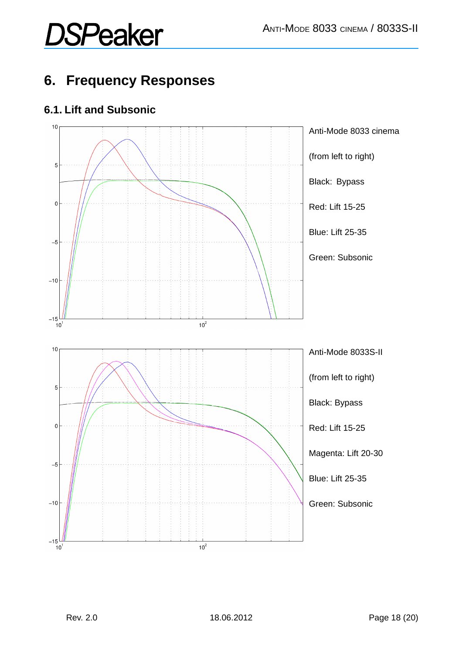### **6. Frequency Responses**

#### **6.1. Lift and Subsonic**

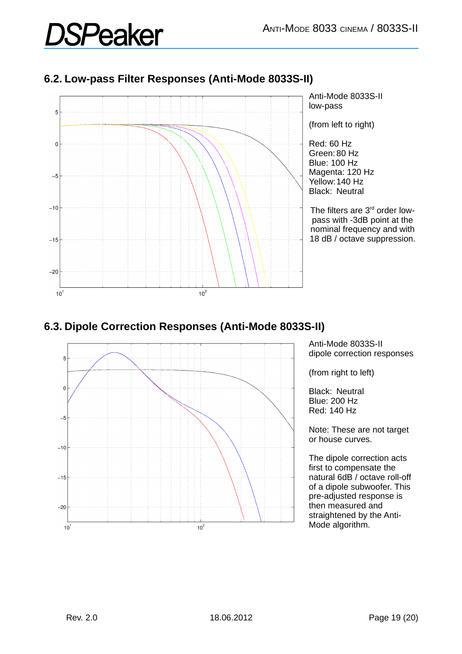#### **6.2. Low-pass Filter Responses (Anti-Mode 8033S-II)**



#### **6.3. Dipole Correction Responses (Anti-Mode 8033S-II)**



Anti-Mode 8033S-II dipole correction responses

(from right to left)

Black: Neutral Blue: 200 Hz Red: 140 Hz

Note: These are not target or house curves.

The dipole correction acts first to compensate the natural 6dB / octave roll-off of a dipole subwoofer. This pre-adjusted response is then measured and straightened by the Anti-Mode algorithm.